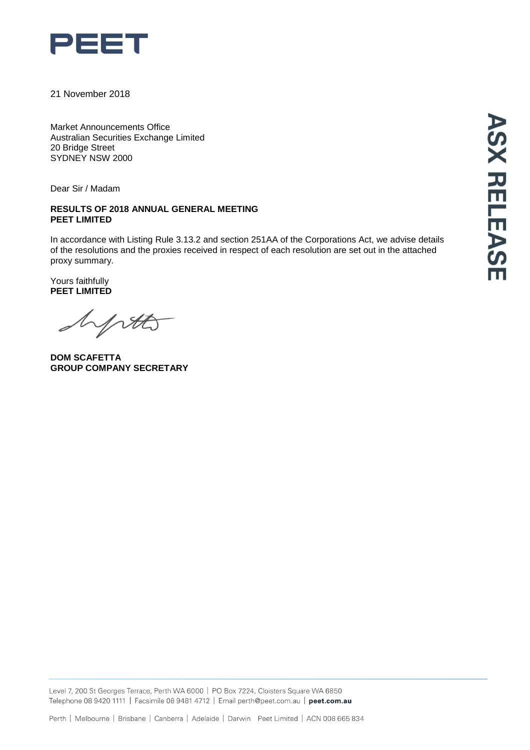

21 November 2018

Market Announcements Office Australian Securities Exchange Limited 20 Bridge Street SYDNEY NSW 2000

Dear Sir / Madam

#### **RESULTS OF 2018 ANNUAL GENERAL MEETING PEET LIMITED**

In accordance with Listing Rule 3.13.2 and section 251AA of the Corporations Act, we advise details of the resolutions and the proxies received in respect of each resolution are set out in the attached proxy summary.

Yours faithfully **PEET LIMITED**

yrtts

**DOM SCAFETTA GROUP COMPANY SECRETARY**

Level 7, 200 St Georges Terrace, Perth WA 6000 | PO Box 7224, Cloisters Square WA 6850 Telephone 08 9420 1111 | Facsimile 08 9481 4712 | Email perth@peet.com.au | peet.com.au